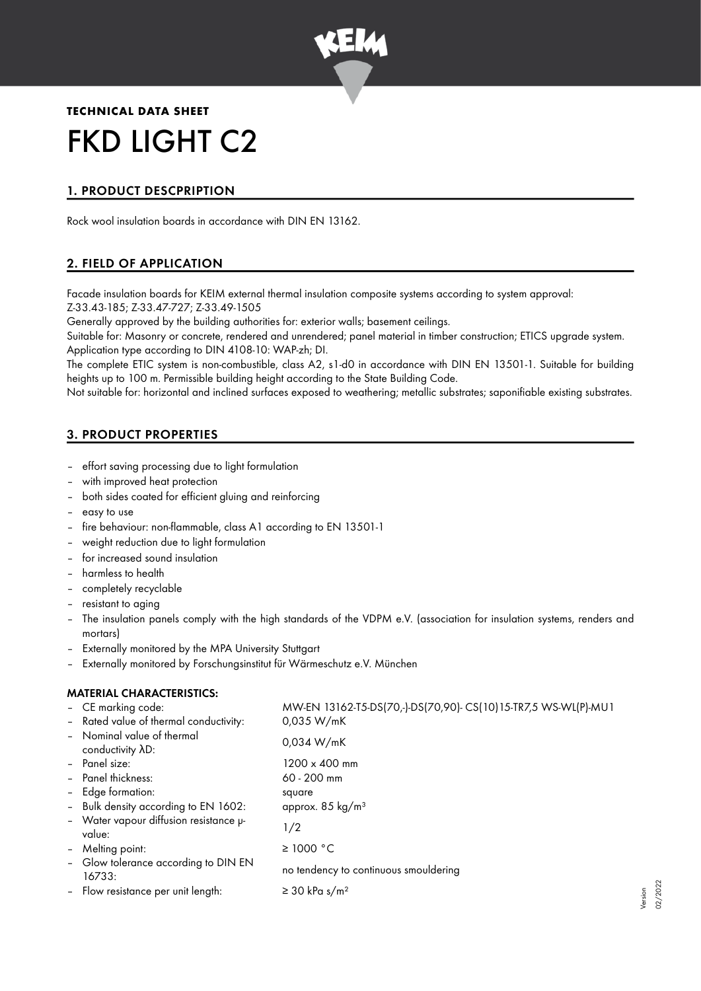

# **TECHNICAL DATA SHEET** FKD LIGHT C2

# 1. PRODUCT DESCPRIPTION

Rock wool insulation boards in accordance with DIN EN 13162.

## 2. FIELD OF APPLICATION

Facade insulation boards for KEIM external thermal insulation composite systems according to system approval: Z-33.43-185; Z-33.47-727; Z-33.49-1505

Generally approved by the building authorities for: exterior walls; basement ceilings.

Suitable for: Masonry or concrete, rendered and unrendered; panel material in timber construction; ETICS upgrade system. Application type according to DIN 4108-10: WAP-zh; DI.

The complete ETIC system is non-combustible, class A2, s1-d0 in accordance with DIN EN 13501-1. Suitable for building heights up to 100 m. Permissible building height according to the State Building Code.

Not suitable for: horizontal and inclined surfaces exposed to weathering; metallic substrates; saponifiable existing substrates.

## 3. PRODUCT PROPERTIES

- effort saving processing due to light formulation
- with improved heat protection
- both sides coated for efficient gluing and reinforcing
- easy to use
- fire behaviour: non-flammable, class A1 according to EN 13501-1
- weight reduction due to light formulation
- for increased sound insulation
- harmless to health
- completely recyclable
- resistant to aging
- The insulation panels comply with the high standards of the VDPM e.V. (association for insulation systems, renders and mortars)
- Externally monitored by the MPA University Stuttgart
- Externally monitored by Forschungsinstitut für Wärmeschutz e.V. München

## MATERIAL CHARACTERISTICS:

|                | - CE marking code:                               | MW-EN 13162-T5-DS(70,-)-DS(70,90)- CS(10)15-TR7,5 WS-WL(P)-MU1 |
|----------------|--------------------------------------------------|----------------------------------------------------------------|
|                | - Rated value of thermal conductivity:           | 0,035 W/mK                                                     |
|                | - Nominal value of thermal<br>conductivity AD:   | 0,034 W/mK                                                     |
|                | - Panel size:                                    | 1200 x 400 mm                                                  |
|                | - Panel thickness:                               | $60 - 200$ mm                                                  |
|                | - Edge formation:                                | square                                                         |
|                | - Bulk density according to EN 1602:             | approx. 85 kg/m <sup>3</sup>                                   |
|                | - Water vapour diffusion resistance µ-<br>value: | 1/2                                                            |
| $\blacksquare$ | Melting point:                                   | ≥ 1000 °C                                                      |
|                | - Glow tolerance according to DIN EN<br>16733:   | no tendency to continuous smouldering                          |
|                | - Flow resistance per unit length:               | $\geq$ 30 kPa s/m <sup>2</sup>                                 |
|                |                                                  |                                                                |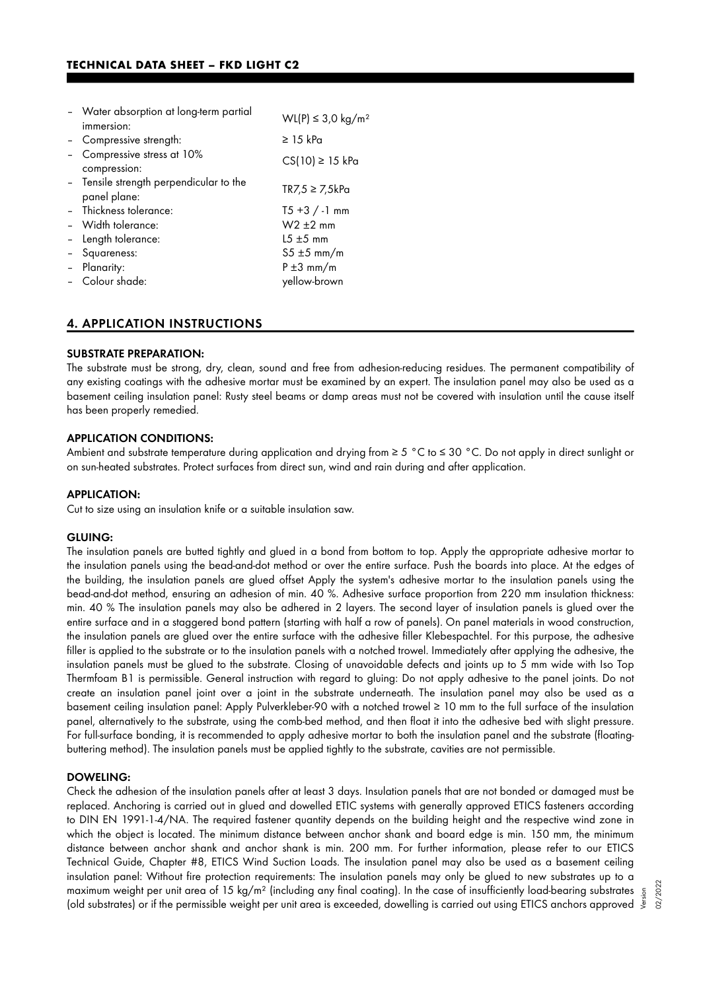| - Water absorption at long-term partial                 | WL(P) ≤ 3.0 kg/m <sup>2</sup> |  |
|---------------------------------------------------------|-------------------------------|--|
| immersion:                                              |                               |  |
| - Compressive strength:                                 | $\geq$ 15 kPa                 |  |
| Compressive stress at 10%<br>compression:               | CS(10) ≥ 15 kPa               |  |
| - Tensile strength perpendicular to the<br>panel plane: | $TR7,5 \geq 7,5kPa$           |  |
| - Thickness tolerance:                                  | $T5 + 3 / -1$ mm              |  |
| - Width tolerance:                                      | $W2 \pm 2$ mm                 |  |
| - Length tolerance:                                     | $15 \pm 5$ mm                 |  |
| - Squareness:                                           | $55 \pm 5$ mm/m               |  |
| - Planarity:                                            | $P \pm 3$ mm/m                |  |
| - Colour shade:                                         | yellow-brown                  |  |

## 4. APPLICATION INSTRUCTIONS

#### SUBSTRATE PREPARATION:

The substrate must be strong, dry, clean, sound and free from adhesion-reducing residues. The permanent compatibility of any existing coatings with the adhesive mortar must be examined by an expert. The insulation panel may also be used as a basement ceiling insulation panel: Rusty steel beams or damp areas must not be covered with insulation until the cause itself has been properly remedied.

#### APPLICATION CONDITIONS:

Ambient and substrate temperature during application and drying from ≥ 5 °C to ≤ 30 °C. Do not apply in direct sunlight or on sun-heated substrates. Protect surfaces from direct sun, wind and rain during and after application.

#### APPLICATION:

Cut to size using an insulation knife or a suitable insulation saw.

#### GLUING:

The insulation panels are butted tightly and glued in a bond from bottom to top. Apply the appropriate adhesive mortar to the insulation panels using the bead-and-dot method or over the entire surface. Push the boards into place. At the edges of the building, the insulation panels are glued offset Apply the system's adhesive mortar to the insulation panels using the bead-and-dot method, ensuring an adhesion of min. 40 %. Adhesive surface proportion from 220 mm insulation thickness: min. 40 % The insulation panels may also be adhered in 2 layers. The second layer of insulation panels is glued over the entire surface and in a staggered bond pattern (starting with half a row of panels). On panel materials in wood construction, the insulation panels are glued over the entire surface with the adhesive filler Klebespachtel. For this purpose, the adhesive filler is applied to the substrate or to the insulation panels with a notched trowel. Immediately after applying the adhesive, the insulation panels must be glued to the substrate. Closing of unavoidable defects and joints up to 5 mm wide with Iso Top Thermfoam B1 is permissible. General instruction with regard to gluing: Do not apply adhesive to the panel joints. Do not create an insulation panel joint over a joint in the substrate underneath. The insulation panel may also be used as a basement ceiling insulation panel: Apply Pulverkleber-90 with a notched trowel ≥ 10 mm to the full surface of the insulation panel, alternatively to the substrate, using the comb-bed method, and then float it into the adhesive bed with slight pressure. For full-surface bonding, it is recommended to apply adhesive mortar to both the insulation panel and the substrate (floatingbuttering method). The insulation panels must be applied tightly to the substrate, cavities are not permissible.

#### DOWELING:

Check the adhesion of the insulation panels after at least 3 days. Insulation panels that are not bonded or damaged must be replaced. Anchoring is carried out in glued and dowelled ETIC systems with generally approved ETICS fasteners according to DIN EN 1991-1-4/NA. The required fastener quantity depends on the building height and the respective wind zone in which the object is located. The minimum distance between anchor shank and board edge is min. 150 mm, the minimum distance between anchor shank and anchor shank is min. 200 mm. For further information, please refer to our ETICS Technical Guide, Chapter #8, ETICS Wind Suction Loads. The insulation panel may also be used as a basement ceiling insulation panel: Without fire protection requirements: The insulation panels may only be glued to new substrates up to a maximum weight per unit area of 15 kg/m² (including any final coating). In the case of insufficiently load-bearing substrates maximum weight per unit area of 15 kg/m² (including any final coating). In the case of insufficiently load-bearing substrates  $\frac{5}{8}$ <br>(old substrates) or if the permissible weight per unit area is exceeded, dowelling is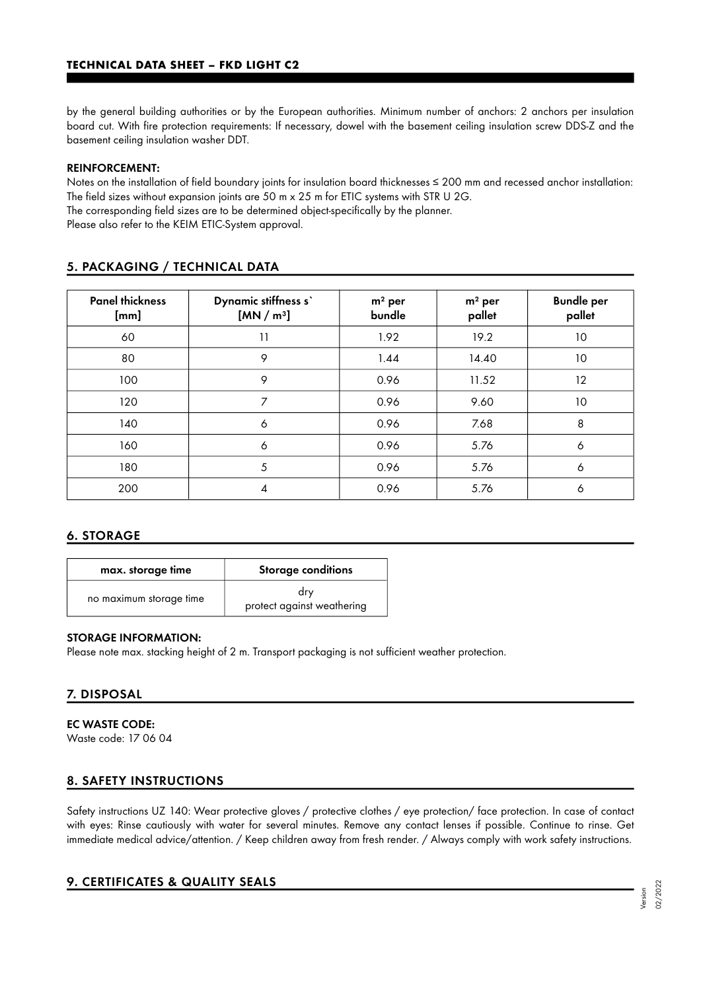by the general building authorities or by the European authorities. Minimum number of anchors: 2 anchors per insulation board cut. With fire protection requirements: If necessary, dowel with the basement ceiling insulation screw DDS-Z and the basement ceiling insulation washer DDT.

#### REINFORCEMENT:

Notes on the installation of field boundary joints for insulation board thicknesses ≤ 200 mm and recessed anchor installation: The field sizes without expansion joints are 50 m x 25 m for ETIC systems with STR U 2G.

The corresponding field sizes are to be determined object-specifically by the planner.

Please also refer to the KEIM ETIC-System approval.

| <b>Panel thickness</b><br>[mm] | Dynamic stiffness s'<br>[MN/m <sup>3</sup> ] | $m2$ per<br>bundle | $m2$ per<br>pallet | <b>Bundle per</b><br>pallet |
|--------------------------------|----------------------------------------------|--------------------|--------------------|-----------------------------|
| 60                             | 11                                           | 1.92               | 19.2               | 10                          |
| 80                             | 9                                            | 1.44               | 14.40              | 10                          |
| 100                            | 9                                            | 0.96               | 11.52              | 12                          |
| 120                            | $\overline{7}$                               | 0.96               | 9.60               | 10                          |
| 140                            | 6                                            | 0.96               | 7.68               | 8                           |
| 160                            | 6                                            | 0.96               | 5.76               | 6                           |
| 180                            | 5                                            | 0.96               | 5.76               | 6                           |
| 200                            | 4                                            | 0.96               | 5.76               | 6                           |

## 5. PACKAGING / TECHNICAL DATA

## 6. STORAGE

| max. storage time       | <b>Storage conditions</b>         |  |  |
|-------------------------|-----------------------------------|--|--|
| no maximum storage time | drv<br>protect against weathering |  |  |

#### STORAGE INFORMATION:

Please note max. stacking height of 2 m. Transport packaging is not sufficient weather protection.

## 7. DISPOSAL

EC WASTE CODE: Waste code: 17 06 04

## 8. SAFETY INSTRUCTIONS

Safety instructions UZ 140: Wear protective gloves / protective clothes / eye protection/ face protection. In case of contact with eyes: Rinse cautiously with water for several minutes. Remove any contact lenses if possible. Continue to rinse. Get immediate medical advice/attention. / Keep children away from fresh render. / Always comply with work safety instructions.

## 9. CERTIFICATES & QUALITY SEALS